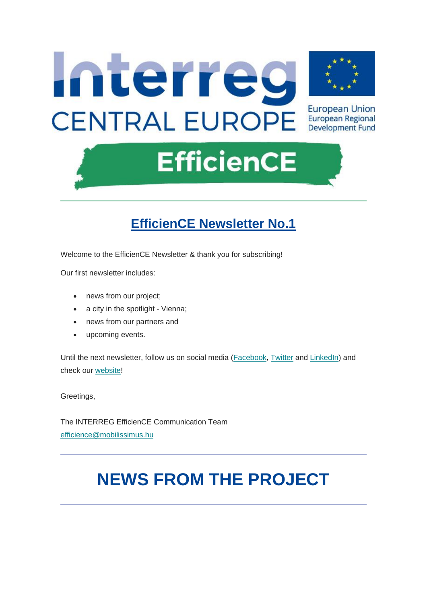

## **EfficienCE Newsletter No.1**

Welcome to the EfficienCE Newsletter & thank you for subscribing!

Our first newsletter includes:

- news from our project;
- a city in the spotlight Vienna;
- news from our partners and
- upcoming events.

Until the next newsletter, follow us on social media [\(Facebook,](https://www.facebook.com/Interreg.EfficienCE/) [Twitter](https://twitter.com/Int_EfficienCE) and [LinkedIn\)](https://www.linkedin.com/company/interreg-efficience/) and check our [website!](https://www.interreg-central.eu/Content.Node/EfficienCE.html)

Greetings,

The INTERREG EfficienCE Communication Team [efficience@mobilissimus.hu](mailto:efficience@mobilissimus.hu)

# **NEWS FROM THE PROJECT**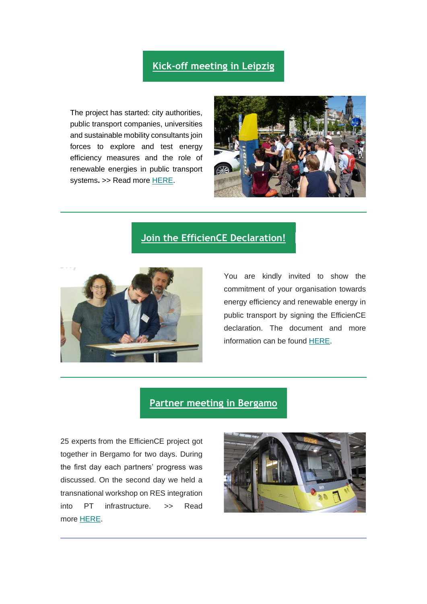### **[Kick-off meeting in Leipzig](http://www.interreg-central.eu/Content.Node/press-release-1.html)**

The project has started: city authorities, public transport companies, universities and sustainable mobility consultants join forces to explore and test energy efficiency measures and the role of renewable energies in public transport systems. >> Read more [HERE.](https://www.interreg-central.eu/Content.Node/press-release-1.html)



#### **[Join the EfficienCE Declaration!](https://www.interreg-central.eu/Content.Node/Declaration.html)**



You are kindly invited to show the commitment of your organisation towards energy efficiency and renewable energy in public transport by signing the EfficienCE declaration. The document and more information can be found [HERE.](https://www.interreg-central.eu/Content.Node/Declaration.html)

#### **[Partner meeting in Bergamo](https://www.interreg-central.eu/Content.Node/Partner-meeting.html)**

25 experts from the EfficienCE project got together in Bergamo for two days. During the first day each partners' progress was discussed. On the second day we held a transnational workshop on RES integration into PT infrastructure. >> Read more [HERE.](https://www.interreg-central.eu/Content.Node/Partner-meeting.html)

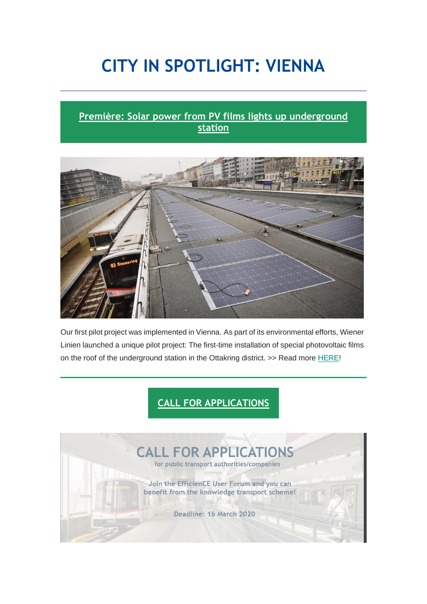# **CITY IN SPOTLIGHT: VIENNA**

## **[Première: Solar power from PV films lights up underground](https://www.interreg-central.eu/Content.Node/press-release-2.html)  [station](https://www.interreg-central.eu/Content.Node/press-release-2.html)**



Our first pilot project was implemented in Vienna. As part of its environmental efforts, Wiener Linien launched a unique pilot project: The first-time installation of special photovoltaic films on the roof of the underground station in the Ottakring district. >> Read more [HERE!](https://www.interreg-central.eu/Content.Node/press-release-2.html)

## **[CALL FOR APPLICATIONS](https://www.interreg-central.eu/Content.Node/call-for-user-forum.html)**

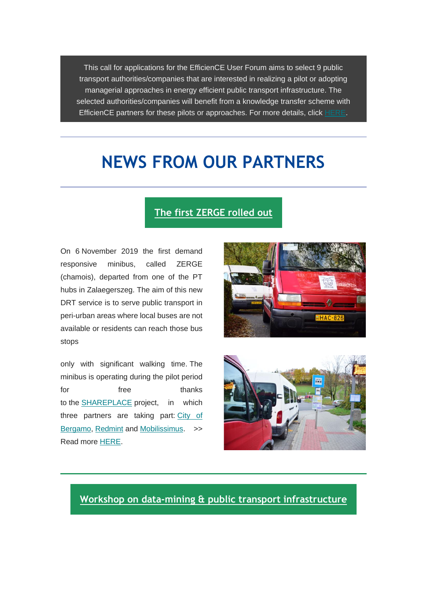This call for applications for the EfficienCE User Forum aims to select 9 public transport authorities/companies that are interested in realizing a pilot or adopting managerial approaches in energy efficient public transport infrastructure. The selected authorities/companies will benefit from a knowledge transfer scheme with EfficienCE partners for these pilots or approaches. For more details, click [HERE.](https://www.interreg-central.eu/Content.Node/call-for-user-forum.html)

## **NEWS FROM OUR PARTNERS**

#### **[The first ZERGE rolled out](https://mobilissimus.hu/en/news/first-zerge-rolled-out)**

On 6 November 2019 the first demand responsive minibus, called ZERGE (chamois), departed from one of the PT hubs in Zalaegerszeg. The aim of this new DRT service is to serve public transport in peri-urban areas where local buses are not available or residents can reach those bus stops

only with significant walking time. The minibus is operating during the pilot period for **free** thanks to the [SHAREPLACE](https://www.interreg-central.eu/Content.Node/SHAREPLACE.html) project, in which three partners are taking part: [City of](https://www.comune.bergamo.it/)  [Bergamo,](https://www.comune.bergamo.it/) [Redmint](http://redminteurope.org/) and [Mobilissimus.](https://mobilissimus.hu/) >> Read more [HERE.](https://mobilissimus.hu/en/news/first-zerge-rolled-out)





**[Workshop on data-mining & public transport infrastructure](https://www.interreg-central.eu/Content.Node/workshop.html)**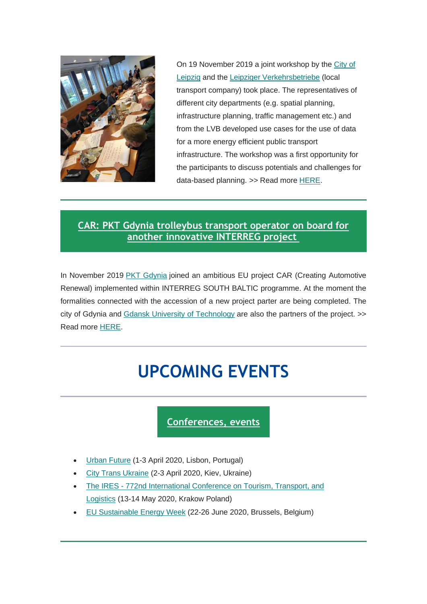

On 19 November 2019 a joint workshop by the [City of](https://www.leipzig.de/)  [Leipzig](https://www.leipzig.de/) and the [Leipziger](https://www.l.de/verkehrsbetriebe) [Verkehrsbetriebe](https://www.l.de/verkehrsbetriebe) (local transport company) took place. The representatives of different city departments (e.g. spatial planning, infrastructure planning, traffic management etc.) and from the LVB developed use cases for the use of data for a more energy efficient public transport infrastructure. The workshop was a first opportunity for the participants to discuss potentials and challenges for data-based planning. >> Read more [HERE.](https://www.interreg-central.eu/Content.Node/workshop.html)

### **[CAR: PKT Gdynia trolleybus transport operator on board for](https://www.sbcar.eu/)  [another innovative INTERREG project](https://www.sbcar.eu/)**

In November 2019 [PKT Gdynia](http://pktgdynia.pl/) joined an ambitious EU project CAR (Creating Automotive Renewal) implemented within INTERREG SOUTH BALTIC programme. At the moment the formalities connected with the accession of a new project parter are being completed. The city of Gdynia and [Gdansk University of Technology](https://pg.edu.pl/en/) are also the partners of the project. >> Read more [HERE.](https://www.sbcar.eu/)

# **UPCOMING EVENTS**

## **[Conferences, events](http://)**

- [Urban Future](https://www.urban-future.org/) (1-3 April 2020, Lisbon, Portugal)
- [City Trans Ukraine](http://citytrans-ua.com/) (2-3 April 2020, Kiev, Ukraine)
- The IRES 772nd [International Conference on Tourism, Transport, and](http://theires.org/Conference2020/Poland/2/ICTTL/)  [Logistics](http://theires.org/Conference2020/Poland/2/ICTTL/) (13-14 May 2020, Krakow Poland)
- [EU Sustainable](https://eusew.eu/) Energy Week (22-26 June 2020, Brussels, Belgium)